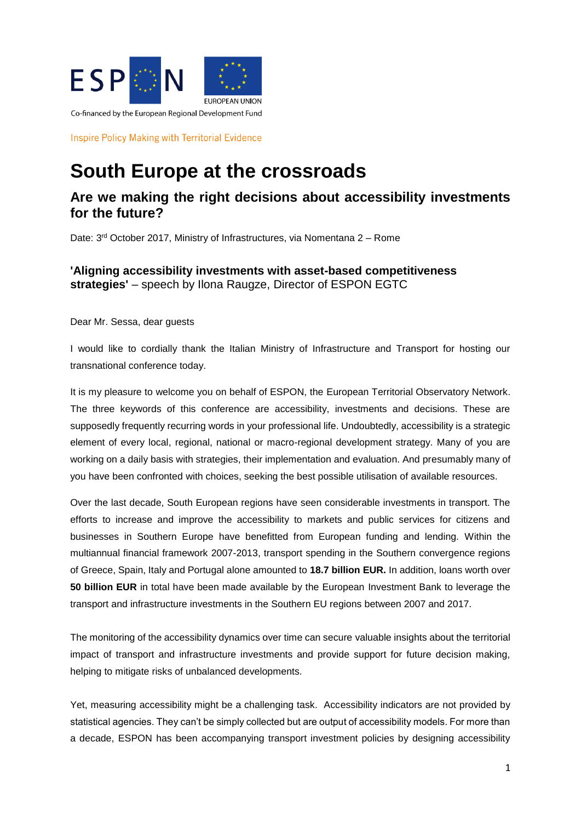

**Inspire Policy Making with Territorial Evidence** 

## **South Europe at the crossroads**

## **Are we making the right decisions about accessibility investments for the future?**

Date: 3rd October 2017, Ministry of Infrastructures, via Nomentana 2 – Rome

## **'Aligning accessibility investments with asset-based competitiveness strategies'** – speech by Ilona Raugze, Director of ESPON EGTC

Dear Mr. Sessa, dear guests

I would like to cordially thank the Italian Ministry of Infrastructure and Transport for hosting our transnational conference today.

It is my pleasure to welcome you on behalf of ESPON, the European Territorial Observatory Network. The three keywords of this conference are accessibility, investments and decisions. These are supposedly frequently recurring words in your professional life. Undoubtedly, accessibility is a strategic element of every local, regional, national or macro-regional development strategy. Many of you are working on a daily basis with strategies, their implementation and evaluation. And presumably many of you have been confronted with choices, seeking the best possible utilisation of available resources.

Over the last decade, South European regions have seen considerable investments in transport. The efforts to increase and improve the accessibility to markets and public services for citizens and businesses in Southern Europe have benefitted from European funding and lending. Within the multiannual financial framework 2007-2013, transport spending in the Southern convergence regions of Greece, Spain, Italy and Portugal alone amounted to **18.7 billion EUR.** In addition, loans worth over **50 billion EUR** in total have been made available by the European Investment Bank to leverage the transport and infrastructure investments in the Southern EU regions between 2007 and 2017.

The monitoring of the accessibility dynamics over time can secure valuable insights about the territorial impact of transport and infrastructure investments and provide support for future decision making, helping to mitigate risks of unbalanced developments.

Yet, measuring accessibility might be a challenging task. Accessibility indicators are not provided by statistical agencies. They can't be simply collected but are output of accessibility models. For more than a decade, ESPON has been accompanying transport investment policies by designing accessibility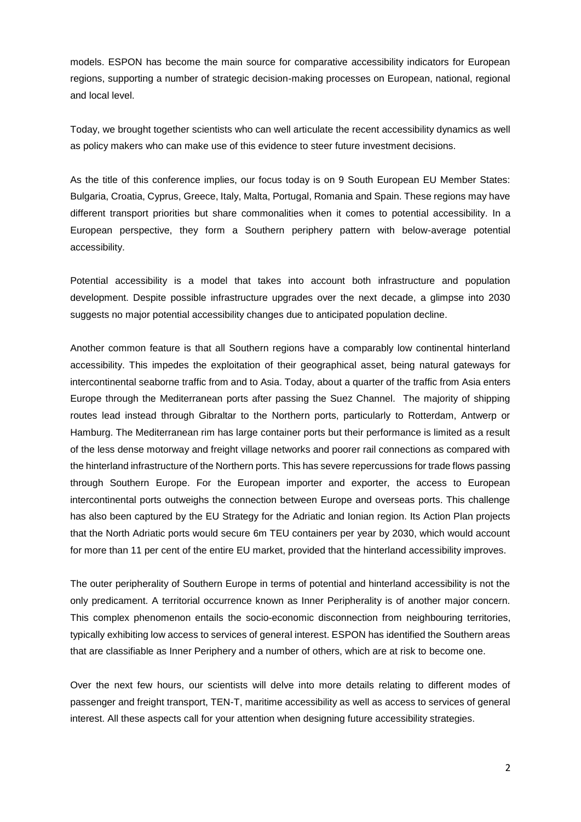models. ESPON has become the main source for comparative accessibility indicators for European regions, supporting a number of strategic decision-making processes on European, national, regional and local level.

Today, we brought together scientists who can well articulate the recent accessibility dynamics as well as policy makers who can make use of this evidence to steer future investment decisions.

As the title of this conference implies, our focus today is on 9 South European EU Member States: Bulgaria, Croatia, Cyprus, Greece, Italy, Malta, Portugal, Romania and Spain. These regions may have different transport priorities but share commonalities when it comes to potential accessibility. In a European perspective, they form a Southern periphery pattern with below-average potential accessibility.

Potential accessibility is a model that takes into account both infrastructure and population development. Despite possible infrastructure upgrades over the next decade, a glimpse into 2030 suggests no major potential accessibility changes due to anticipated population decline.

Another common feature is that all Southern regions have a comparably low continental hinterland accessibility. This impedes the exploitation of their geographical asset, being natural gateways for intercontinental seaborne traffic from and to Asia. Today, about a quarter of the traffic from Asia enters Europe through the Mediterranean ports after passing the Suez Channel. The majority of shipping routes lead instead through Gibraltar to the Northern ports, particularly to Rotterdam, Antwerp or Hamburg. The Mediterranean rim has large container ports but their performance is limited as a result of the less dense motorway and freight village networks and poorer rail connections as compared with the hinterland infrastructure of the Northern ports. This has severe repercussions for trade flows passing through Southern Europe. For the European importer and exporter, the access to European intercontinental ports outweighs the connection between Europe and overseas ports. This challenge has also been captured by the EU Strategy for the Adriatic and Ionian region. Its Action Plan projects that the North Adriatic ports would secure 6m TEU containers per year by 2030, which would account for more than 11 per cent of the entire EU market, provided that the hinterland accessibility improves.

The outer peripherality of Southern Europe in terms of potential and hinterland accessibility is not the only predicament. A territorial occurrence known as Inner Peripherality is of another major concern. This complex phenomenon entails the socio-economic disconnection from neighbouring territories, typically exhibiting low access to services of general interest. ESPON has identified the Southern areas that are classifiable as Inner Periphery and a number of others, which are at risk to become one.

Over the next few hours, our scientists will delve into more details relating to different modes of passenger and freight transport, TEN-T, maritime accessibility as well as access to services of general interest. All these aspects call for your attention when designing future accessibility strategies.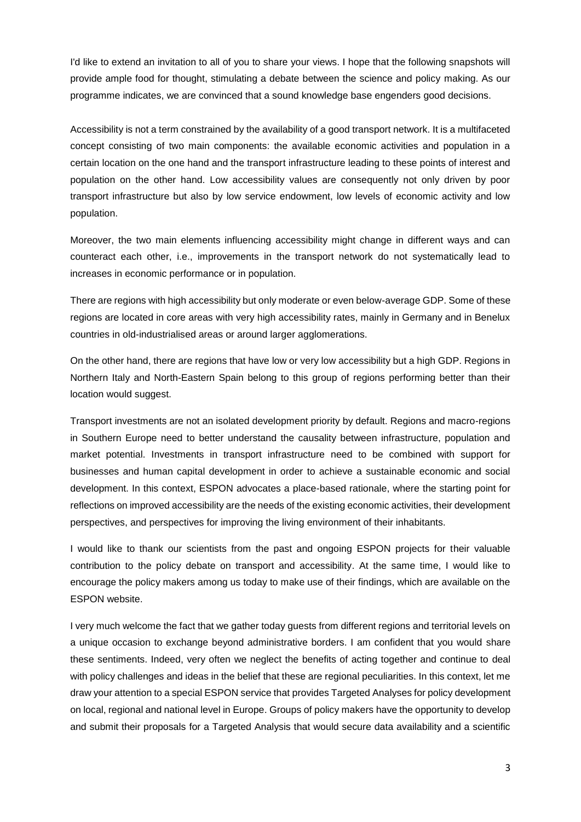I'd like to extend an invitation to all of you to share your views. I hope that the following snapshots will provide ample food for thought, stimulating a debate between the science and policy making. As our programme indicates, we are convinced that a sound knowledge base engenders good decisions.

Accessibility is not a term constrained by the availability of a good transport network. It is a multifaceted concept consisting of two main components: the available economic activities and population in a certain location on the one hand and the transport infrastructure leading to these points of interest and population on the other hand. Low accessibility values are consequently not only driven by poor transport infrastructure but also by low service endowment, low levels of economic activity and low population.

Moreover, the two main elements influencing accessibility might change in different ways and can counteract each other, i.e., improvements in the transport network do not systematically lead to increases in economic performance or in population.

There are regions with high accessibility but only moderate or even below-average GDP. Some of these regions are located in core areas with very high accessibility rates, mainly in Germany and in Benelux countries in old-industrialised areas or around larger agglomerations.

On the other hand, there are regions that have low or very low accessibility but a high GDP. Regions in Northern Italy and North-Eastern Spain belong to this group of regions performing better than their location would suggest.

Transport investments are not an isolated development priority by default. Regions and macro-regions in Southern Europe need to better understand the causality between infrastructure, population and market potential. Investments in transport infrastructure need to be combined with support for businesses and human capital development in order to achieve a sustainable economic and social development. In this context, ESPON advocates a place-based rationale, where the starting point for reflections on improved accessibility are the needs of the existing economic activities, their development perspectives, and perspectives for improving the living environment of their inhabitants.

I would like to thank our scientists from the past and ongoing ESPON projects for their valuable contribution to the policy debate on transport and accessibility. At the same time, I would like to encourage the policy makers among us today to make use of their findings, which are available on the ESPON website.

I very much welcome the fact that we gather today guests from different regions and territorial levels on a unique occasion to exchange beyond administrative borders. I am confident that you would share these sentiments. Indeed, very often we neglect the benefits of acting together and continue to deal with policy challenges and ideas in the belief that these are regional peculiarities. In this context, let me draw your attention to a special ESPON service that provides Targeted Analyses for policy development on local, regional and national level in Europe. Groups of policy makers have the opportunity to develop and submit their proposals for a Targeted Analysis that would secure data availability and a scientific